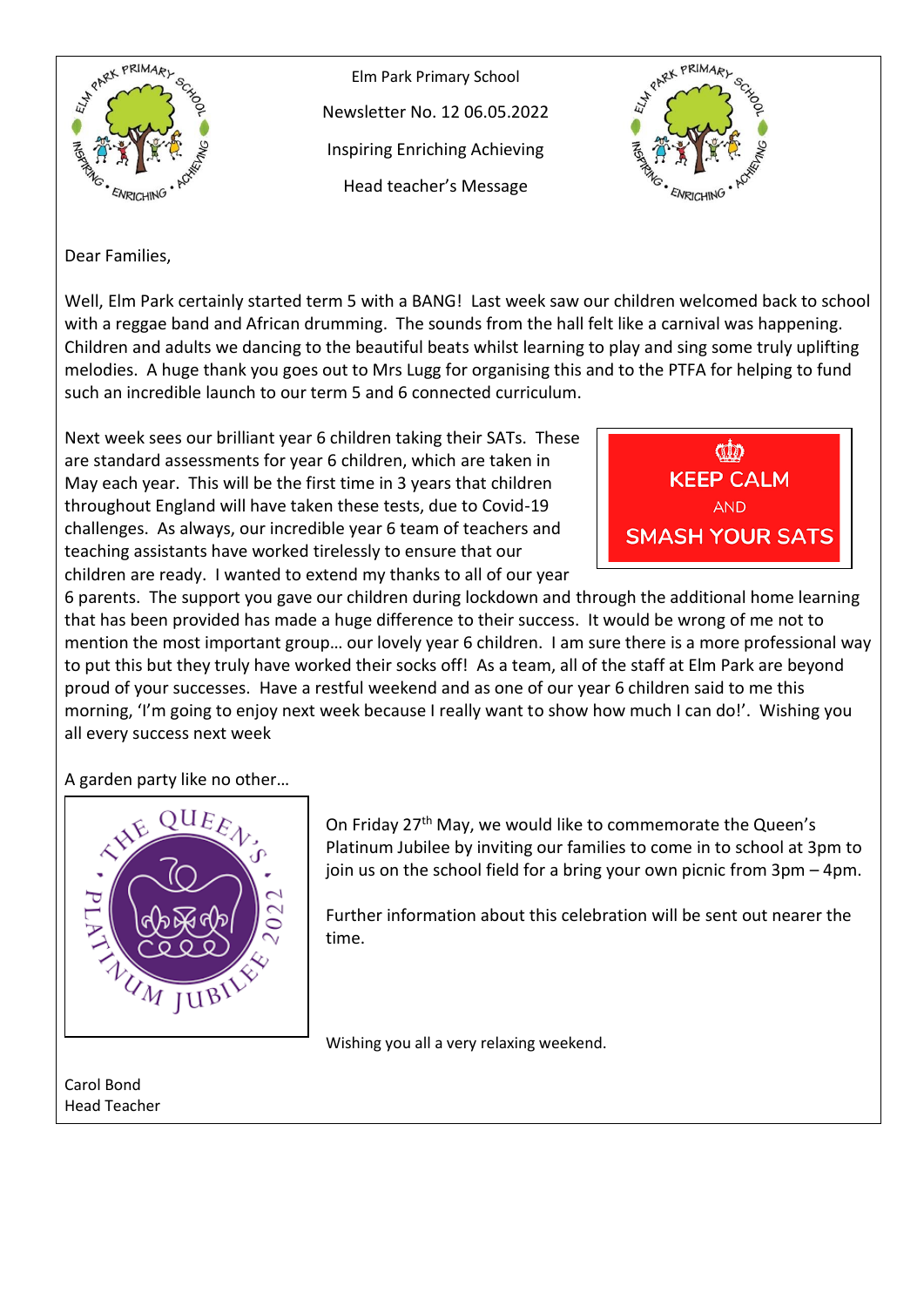

Elm Park Primary School Newsletter No. 12 06.05.2022 Inspiring Enriching Achieving Head teacher's Message



Dear Families,

Well, Elm Park certainly started term 5 with a BANG! Last week saw our children welcomed back to school with a reggae band and African drumming. The sounds from the hall felt like a carnival was happening. Children and adults we dancing to the beautiful beats whilst learning to play and sing some truly uplifting melodies. A huge thank you goes out to Mrs Lugg for organising this and to the PTFA for helping to fund such an incredible launch to our term 5 and 6 connected curriculum.

Next week sees our brilliant year 6 children taking their SATs. These are standard assessments for year 6 children, which are taken in May each year. This will be the first time in 3 years that children throughout England will have taken these tests, due to Covid-19 challenges. As always, our incredible year 6 team of teachers and teaching assistants have worked tirelessly to ensure that our children are ready. I wanted to extend my thanks to all of our year



6 parents. The support you gave our children during lockdown and through the additional home learning that has been provided has made a huge difference to their success. It would be wrong of me not to mention the most important group… our lovely year 6 children. I am sure there is a more professional way to put this but they truly have worked their socks off! As a team, all of the staff at Elm Park are beyond proud of your successes. Have a restful weekend and as one of our year 6 children said to me this morning, 'I'm going to enjoy next week because I really want to show how much I can do!'. Wishing you all every success next week

A garden party like no other…



On Friday 27th May, we would like to commemorate the Queen's Platinum Jubilee by inviting our families to come in to school at 3pm to join us on the school field for a bring your own picnic from 3pm – 4pm.

Further information about this celebration will be sent out nearer the time.

Wishing you all a very relaxing weekend.

Carol Bond Head Teacher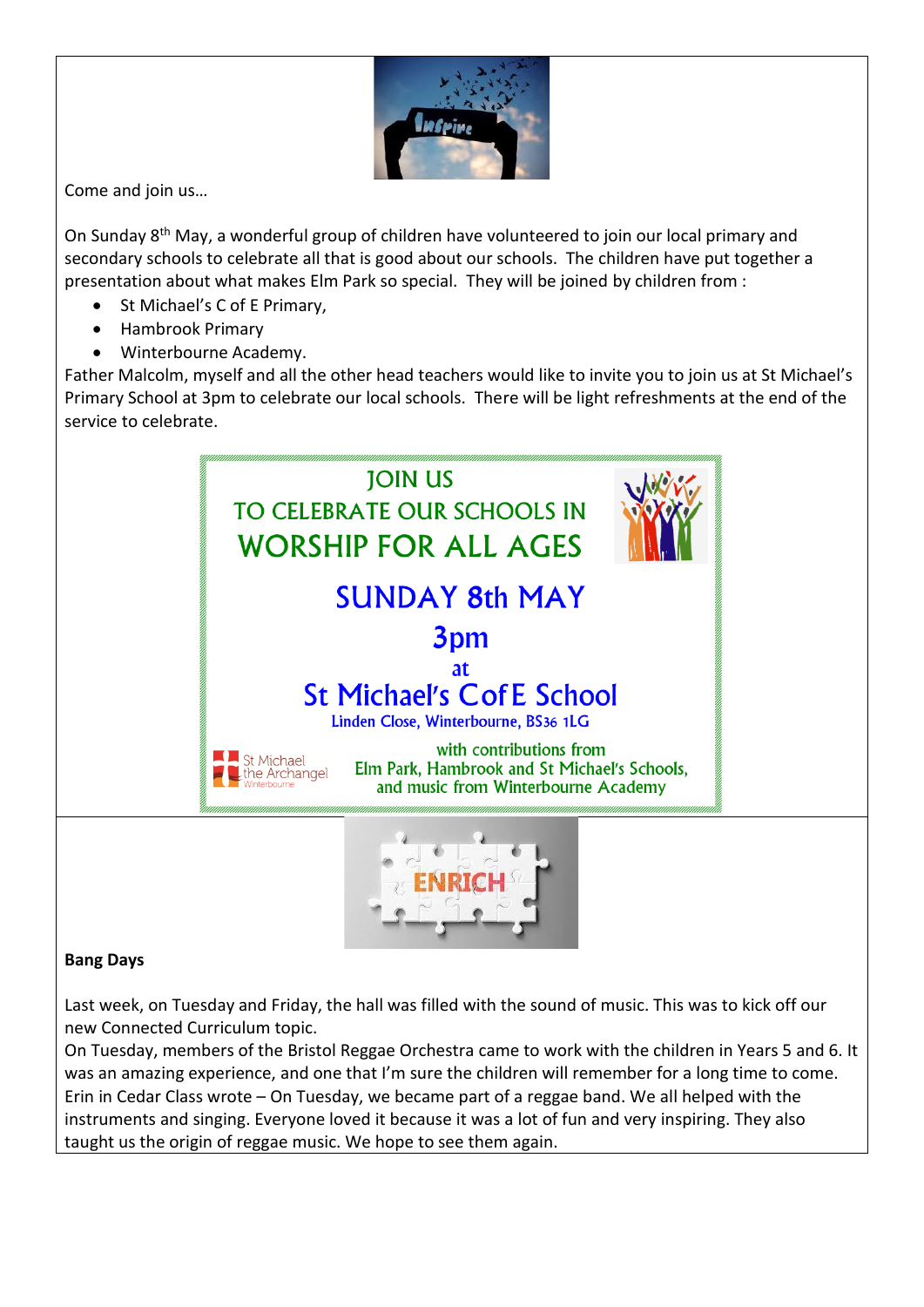

Come and join us…

On Sunday 8th May, a wonderful group of children have volunteered to join our local primary and secondary schools to celebrate all that is good about our schools. The children have put together a presentation about what makes Elm Park so special. They will be joined by children from :

- St Michael's C of E Primary,
- Hambrook Primary
- Winterbourne Academy.

Father Malcolm, myself and all the other head teachers would like to invite you to join us at St Michael's Primary School at 3pm to celebrate our local schools. There will be light refreshments at the end of the service to celebrate.



## **Bang Days**

Last week, on Tuesday and Friday, the hall was filled with the sound of music. This was to kick off our new Connected Curriculum topic.

On Tuesday, members of the Bristol Reggae Orchestra came to work with the children in Years 5 and 6. It was an amazing experience, and one that I'm sure the children will remember for a long time to come. Erin in Cedar Class wrote – On Tuesday, we became part of a reggae band. We all helped with the instruments and singing. Everyone loved it because it was a lot of fun and very inspiring. They also taught us the origin of reggae music. We hope to see them again.